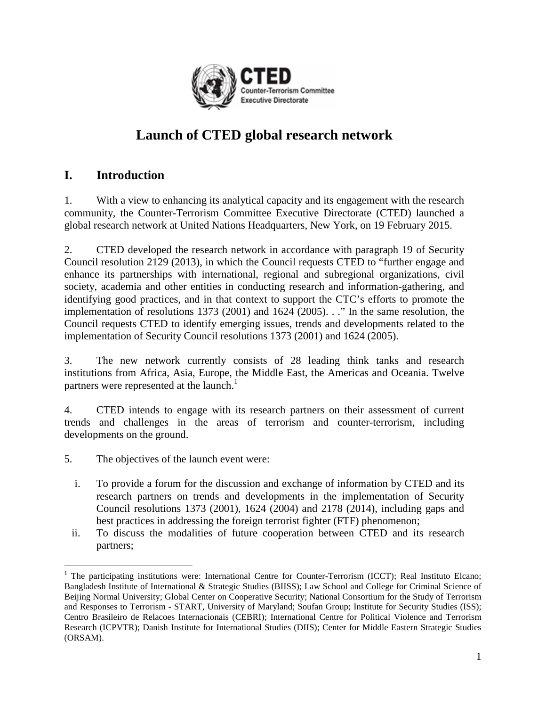

# **Launch of CTED global research network**

# **I. Introduction**

1. With a view to enhancing its analytical capacity and its engagement with the research community, the Counter-Terrorism Committee Executive Directorate (CTED) launched a global research network at United Nations Headquarters, New York, on 19 February 2015.

2. CTED developed the research network in accordance with paragraph 19 of Security Council resolution 2129 (2013), in which the Council requests CTED to "further engage and enhance its partnerships with international, regional and subregional organizations, civil society, academia and other entities in conducting research and information-gathering, and identifying good practices, and in that context to support the CTC's efforts to promote the implementation of resolutions 1373 (2001) and 1624 (2005). . ." In the same resolution, the Council requests CTED to identify emerging issues, trends and developments related to the implementation of Security Council resolutions 1373 (2001) and 1624 (2005).

3. The new network currently consists of 28 leading think tanks and research institutions from Africa, Asia, Europe, the Middle East, the Americas and Oceania. Twelve partners were represented at the launch.<sup>1</sup>

4. CTED intends to engage with its research partners on their assessment of current trends and challenges in the areas of terrorism and counter-terrorism, including developments on the ground.

- 5. The objectives of the launch event were:
	- i. To provide a forum for the discussion and exchange of information by CTED and its research partners on trends and developments in the implementation of Security Council resolutions 1373 (2001), 1624 (2004) and 2178 (2014), including gaps and best practices in addressing the foreign terrorist fighter (FTF) phenomenon;
	- ii. To discuss the modalities of future cooperation between CTED and its research partners;

 $\overline{a}$ <sup>1</sup> The participating institutions were: International Centre for Counter-Terrorism (ICCT); Real Instituto Elcano; Bangladesh Institute of International & Strategic Studies (BIISS); Law School and College for Criminal Science of Beijing Normal University; Global Center on Cooperative Security; National Consortium for the Study of Terrorism and Responses to Terrorism - START, University of Maryland; Soufan Group; Institute for Security Studies (ISS); Centro Brasileiro de Relacoes Internacionais (CEBRI); International Centre for Political Violence and Terrorism Research (ICPVTR); Danish Institute for International Studies (DIIS); Center for Middle Eastern Strategic Studies (ORSAM).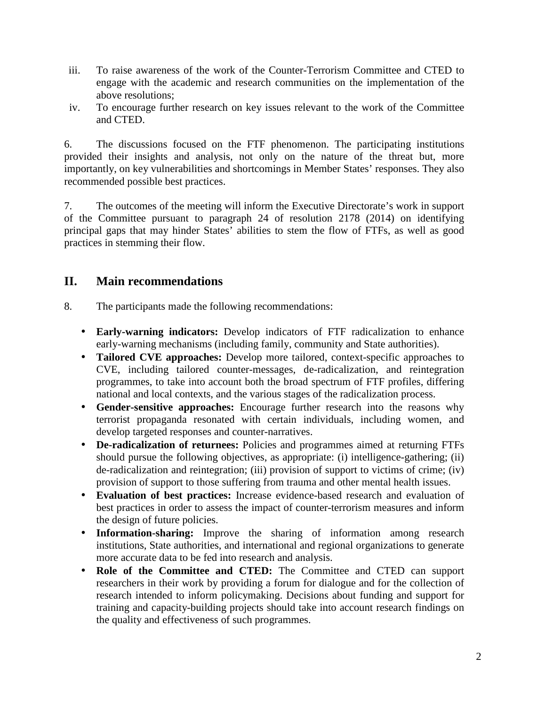- iii. To raise awareness of the work of the Counter-Terrorism Committee and CTED to engage with the academic and research communities on the implementation of the above resolutions;
- iv. To encourage further research on key issues relevant to the work of the Committee and CTED.

6. The discussions focused on the FTF phenomenon. The participating institutions provided their insights and analysis, not only on the nature of the threat but, more importantly, on key vulnerabilities and shortcomings in Member States' responses. They also recommended possible best practices.

7. The outcomes of the meeting will inform the Executive Directorate's work in support of the Committee pursuant to paragraph 24 of resolution 2178 (2014) on identifying principal gaps that may hinder States' abilities to stem the flow of FTFs, as well as good practices in stemming their flow.

## **II. Main recommendations**

- 8. The participants made the following recommendations:
	- **Early-warning indicators:** Develop indicators of FTF radicalization to enhance early-warning mechanisms (including family, community and State authorities).
	- **Tailored CVE approaches:** Develop more tailored, context-specific approaches to CVE, including tailored counter-messages, de-radicalization, and reintegration programmes, to take into account both the broad spectrum of FTF profiles, differing national and local contexts, and the various stages of the radicalization process.
	- **Gender-sensitive approaches:** Encourage further research into the reasons why terrorist propaganda resonated with certain individuals, including women, and develop targeted responses and counter-narratives.
	- **De-radicalization of returnees:** Policies and programmes aimed at returning FTFs should pursue the following objectives, as appropriate: (i) intelligence-gathering; (ii) de-radicalization and reintegration; (iii) provision of support to victims of crime; (iv) provision of support to those suffering from trauma and other mental health issues.
	- **Evaluation of best practices:** Increase evidence-based research and evaluation of best practices in order to assess the impact of counter-terrorism measures and inform the design of future policies.
	- **Information-sharing:** Improve the sharing of information among research institutions, State authorities, and international and regional organizations to generate more accurate data to be fed into research and analysis.
	- **Role of the Committee and CTED:** The Committee and CTED can support researchers in their work by providing a forum for dialogue and for the collection of research intended to inform policymaking. Decisions about funding and support for training and capacity-building projects should take into account research findings on the quality and effectiveness of such programmes.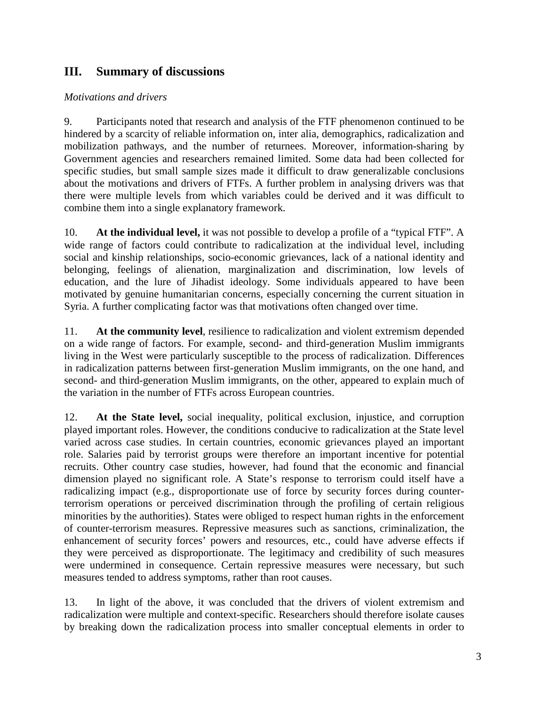# **III. Summary of discussions**

#### *Motivations and drivers*

9. Participants noted that research and analysis of the FTF phenomenon continued to be hindered by a scarcity of reliable information on, inter alia, demographics, radicalization and mobilization pathways, and the number of returnees. Moreover, information-sharing by Government agencies and researchers remained limited. Some data had been collected for specific studies, but small sample sizes made it difficult to draw generalizable conclusions about the motivations and drivers of FTFs. A further problem in analysing drivers was that there were multiple levels from which variables could be derived and it was difficult to combine them into a single explanatory framework.

10. **At the individual level,** it was not possible to develop a profile of a "typical FTF". A wide range of factors could contribute to radicalization at the individual level, including social and kinship relationships, socio-economic grievances, lack of a national identity and belonging, feelings of alienation, marginalization and discrimination, low levels of education, and the lure of Jihadist ideology. Some individuals appeared to have been motivated by genuine humanitarian concerns, especially concerning the current situation in Syria. A further complicating factor was that motivations often changed over time.

11. **At the community level**, resilience to radicalization and violent extremism depended on a wide range of factors. For example, second- and third-generation Muslim immigrants living in the West were particularly susceptible to the process of radicalization. Differences in radicalization patterns between first-generation Muslim immigrants, on the one hand, and second- and third-generation Muslim immigrants, on the other, appeared to explain much of the variation in the number of FTFs across European countries.

12. **At the State level,** social inequality, political exclusion, injustice, and corruption played important roles. However, the conditions conducive to radicalization at the State level varied across case studies. In certain countries, economic grievances played an important role. Salaries paid by terrorist groups were therefore an important incentive for potential recruits. Other country case studies, however, had found that the economic and financial dimension played no significant role. A State's response to terrorism could itself have a radicalizing impact (e.g., disproportionate use of force by security forces during counterterrorism operations or perceived discrimination through the profiling of certain religious minorities by the authorities). States were obliged to respect human rights in the enforcement of counter-terrorism measures. Repressive measures such as sanctions, criminalization, the enhancement of security forces' powers and resources, etc., could have adverse effects if they were perceived as disproportionate. The legitimacy and credibility of such measures were undermined in consequence. Certain repressive measures were necessary, but such measures tended to address symptoms, rather than root causes.

13. In light of the above, it was concluded that the drivers of violent extremism and radicalization were multiple and context-specific. Researchers should therefore isolate causes by breaking down the radicalization process into smaller conceptual elements in order to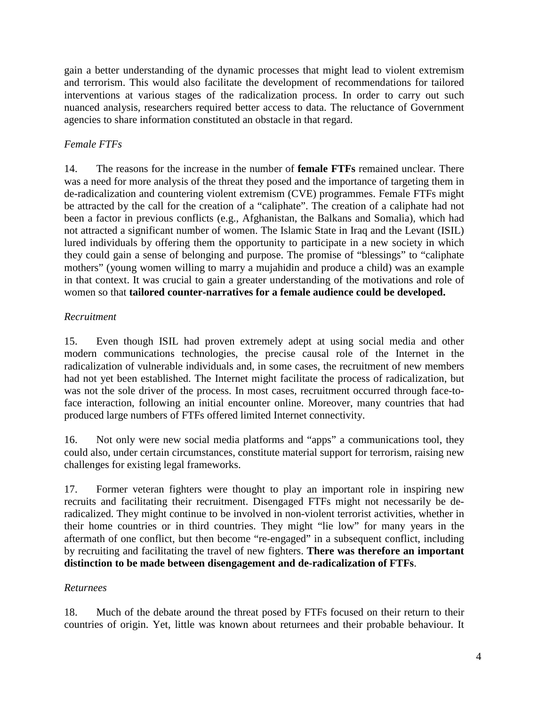gain a better understanding of the dynamic processes that might lead to violent extremism and terrorism. This would also facilitate the development of recommendations for tailored interventions at various stages of the radicalization process. In order to carry out such nuanced analysis, researchers required better access to data. The reluctance of Government agencies to share information constituted an obstacle in that regard.

## *Female FTFs*

14. The reasons for the increase in the number of **female FTFs** remained unclear. There was a need for more analysis of the threat they posed and the importance of targeting them in de-radicalization and countering violent extremism (CVE) programmes. Female FTFs might be attracted by the call for the creation of a "caliphate". The creation of a caliphate had not been a factor in previous conflicts (e.g., Afghanistan, the Balkans and Somalia), which had not attracted a significant number of women. The Islamic State in Iraq and the Levant (ISIL) lured individuals by offering them the opportunity to participate in a new society in which they could gain a sense of belonging and purpose. The promise of "blessings" to "caliphate mothers" (young women willing to marry a mujahidin and produce a child) was an example in that context. It was crucial to gain a greater understanding of the motivations and role of women so that **tailored counter-narratives for a female audience could be developed.**

## *Recruitment*

15. Even though ISIL had proven extremely adept at using social media and other modern communications technologies, the precise causal role of the Internet in the radicalization of vulnerable individuals and, in some cases, the recruitment of new members had not yet been established. The Internet might facilitate the process of radicalization, but was not the sole driver of the process. In most cases, recruitment occurred through face-toface interaction, following an initial encounter online. Moreover, many countries that had produced large numbers of FTFs offered limited Internet connectivity.

16. Not only were new social media platforms and "apps" a communications tool, they could also, under certain circumstances, constitute material support for terrorism, raising new challenges for existing legal frameworks.

17. Former veteran fighters were thought to play an important role in inspiring new recruits and facilitating their recruitment. Disengaged FTFs might not necessarily be deradicalized. They might continue to be involved in non-violent terrorist activities, whether in their home countries or in third countries. They might "lie low" for many years in the aftermath of one conflict, but then become "re-engaged" in a subsequent conflict, including by recruiting and facilitating the travel of new fighters. **There was therefore an important distinction to be made between disengagement and de-radicalization of FTFs**.

#### *Returnees*

18. Much of the debate around the threat posed by FTFs focused on their return to their countries of origin. Yet, little was known about returnees and their probable behaviour. It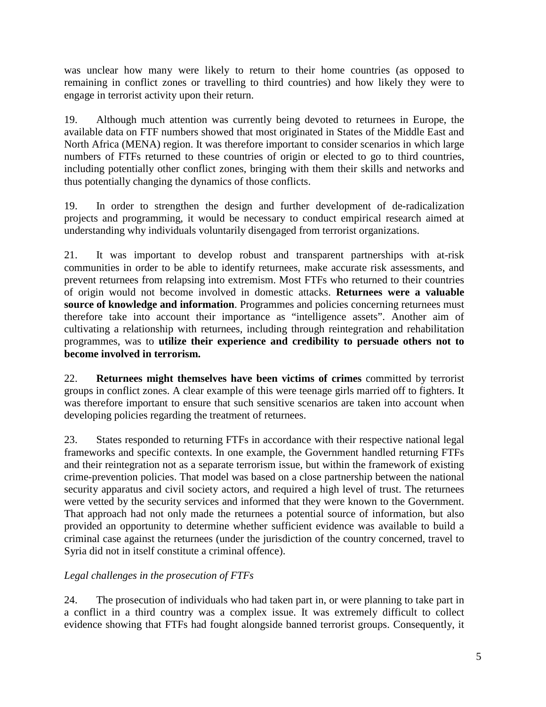was unclear how many were likely to return to their home countries (as opposed to remaining in conflict zones or travelling to third countries) and how likely they were to engage in terrorist activity upon their return.

19. Although much attention was currently being devoted to returnees in Europe, the available data on FTF numbers showed that most originated in States of the Middle East and North Africa (MENA) region. It was therefore important to consider scenarios in which large numbers of FTFs returned to these countries of origin or elected to go to third countries, including potentially other conflict zones, bringing with them their skills and networks and thus potentially changing the dynamics of those conflicts.

19. In order to strengthen the design and further development of de-radicalization projects and programming, it would be necessary to conduct empirical research aimed at understanding why individuals voluntarily disengaged from terrorist organizations.

21. It was important to develop robust and transparent partnerships with at-risk communities in order to be able to identify returnees, make accurate risk assessments, and prevent returnees from relapsing into extremism. Most FTFs who returned to their countries of origin would not become involved in domestic attacks. **Returnees were a valuable source of knowledge and information**. Programmes and policies concerning returnees must therefore take into account their importance as "intelligence assets". Another aim of cultivating a relationship with returnees, including through reintegration and rehabilitation programmes, was to **utilize their experience and credibility to persuade others not to become involved in terrorism.**

22. **Returnees might themselves have been victims of crimes** committed by terrorist groups in conflict zones. A clear example of this were teenage girls married off to fighters. It was therefore important to ensure that such sensitive scenarios are taken into account when developing policies regarding the treatment of returnees.

23. States responded to returning FTFs in accordance with their respective national legal frameworks and specific contexts. In one example, the Government handled returning FTFs and their reintegration not as a separate terrorism issue, but within the framework of existing crime-prevention policies. That model was based on a close partnership between the national security apparatus and civil society actors, and required a high level of trust. The returnees were vetted by the security services and informed that they were known to the Government. That approach had not only made the returnees a potential source of information, but also provided an opportunity to determine whether sufficient evidence was available to build a criminal case against the returnees (under the jurisdiction of the country concerned, travel to Syria did not in itself constitute a criminal offence).

## *Legal challenges in the prosecution of FTFs*

24. The prosecution of individuals who had taken part in, or were planning to take part in a conflict in a third country was a complex issue. It was extremely difficult to collect evidence showing that FTFs had fought alongside banned terrorist groups. Consequently, it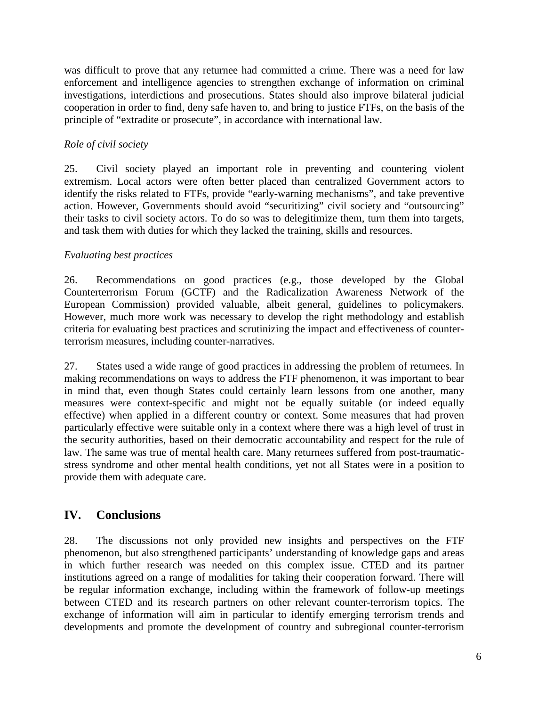was difficult to prove that any returnee had committed a crime. There was a need for law enforcement and intelligence agencies to strengthen exchange of information on criminal investigations, interdictions and prosecutions. States should also improve bilateral judicial cooperation in order to find, deny safe haven to, and bring to justice FTFs, on the basis of the principle of "extradite or prosecute", in accordance with international law.

#### *Role of civil society*

25. Civil society played an important role in preventing and countering violent extremism. Local actors were often better placed than centralized Government actors to identify the risks related to FTFs, provide "early-warning mechanisms", and take preventive action. However, Governments should avoid "securitizing" civil society and "outsourcing" their tasks to civil society actors. To do so was to delegitimize them, turn them into targets, and task them with duties for which they lacked the training, skills and resources.

#### *Evaluating best practices*

26. Recommendations on good practices (e.g., those developed by the Global Counterterrorism Forum (GCTF) and the Radicalization Awareness Network of the European Commission) provided valuable, albeit general, guidelines to policymakers. However, much more work was necessary to develop the right methodology and establish criteria for evaluating best practices and scrutinizing the impact and effectiveness of counterterrorism measures, including counter-narratives.

27. States used a wide range of good practices in addressing the problem of returnees. In making recommendations on ways to address the FTF phenomenon, it was important to bear in mind that, even though States could certainly learn lessons from one another, many measures were context-specific and might not be equally suitable (or indeed equally effective) when applied in a different country or context. Some measures that had proven particularly effective were suitable only in a context where there was a high level of trust in the security authorities, based on their democratic accountability and respect for the rule of law. The same was true of mental health care. Many returnees suffered from post-traumaticstress syndrome and other mental health conditions, yet not all States were in a position to provide them with adequate care.

## **IV. Conclusions**

28. The discussions not only provided new insights and perspectives on the FTF phenomenon, but also strengthened participants' understanding of knowledge gaps and areas in which further research was needed on this complex issue. CTED and its partner institutions agreed on a range of modalities for taking their cooperation forward. There will be regular information exchange, including within the framework of follow-up meetings between CTED and its research partners on other relevant counter-terrorism topics. The exchange of information will aim in particular to identify emerging terrorism trends and developments and promote the development of country and subregional counter-terrorism